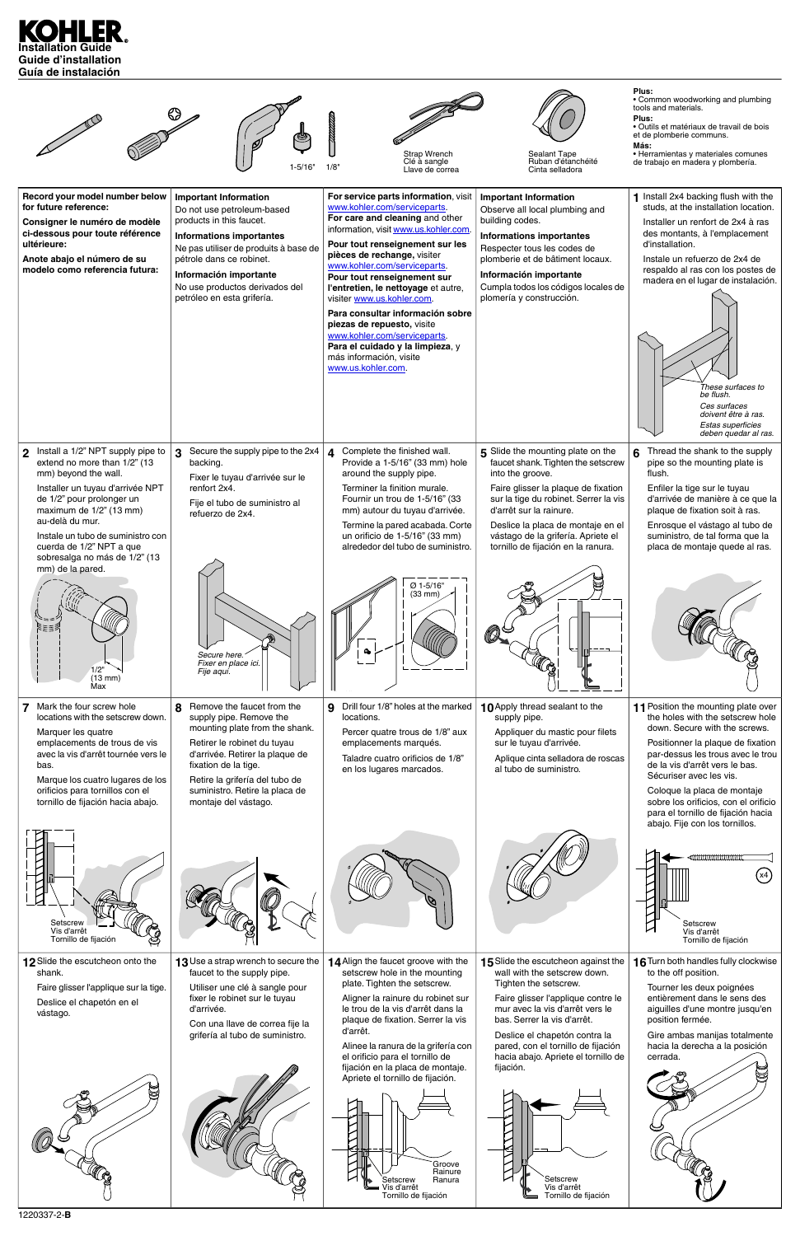



| Setscrew<br>Vis d'arrêt<br>Tornillo de fijación                                                                              |                                                                                                                                                                                                                          |                                                                                                                                                                                                                                                                                                                                                                                                                                                                     |                                                                                                                                                                                                                                                                                                                                                                                    | Setscrew<br>Vis d'arrêt<br>Tornillo de fijación                                                                                                                                                                                                                 |
|------------------------------------------------------------------------------------------------------------------------------|--------------------------------------------------------------------------------------------------------------------------------------------------------------------------------------------------------------------------|---------------------------------------------------------------------------------------------------------------------------------------------------------------------------------------------------------------------------------------------------------------------------------------------------------------------------------------------------------------------------------------------------------------------------------------------------------------------|------------------------------------------------------------------------------------------------------------------------------------------------------------------------------------------------------------------------------------------------------------------------------------------------------------------------------------------------------------------------------------|-----------------------------------------------------------------------------------------------------------------------------------------------------------------------------------------------------------------------------------------------------------------|
| 12 Slide the escutcheon onto the<br>shank.<br>Faire glisser l'applique sur la tige.<br>Deslice el chapetón en el<br>vástago. | 13 Use a strap wrench to secure the<br>faucet to the supply pipe.<br>Utiliser une clé à sangle pour<br>fixer le robinet sur le tuyau<br>d'arrivée.<br>Con una llave de correa fije la<br>grifería al tubo de suministro. | 14 Align the faucet groove with the<br>setscrew hole in the mounting<br>plate. Tighten the setscrew.<br>Aligner la rainure du robinet sur<br>le trou de la vis d'arrêt dans la<br>plaque de fixation. Serrer la vis<br>d'arrêt.<br>Alinee la ranura de la grifería con<br>el orificio para el tornillo de<br>fijación en la placa de montaje.<br>Apriete el tornillo de fijación.<br>Groove<br>Rainure<br>Ranura<br>Setscrew<br>/is d'arrêt<br>Tornillo de fijación | 15 Slide the escutcheon against the<br>wall with the setscrew down.<br>Tighten the setscrew.<br>Faire glisser l'applique contre le<br>mur avec la vis d'arrêt vers le<br>bas. Serrer la vis d'arrêt.<br>Deslice el chapetón contra la<br>pared, con el tornillo de fijación<br>hacia abajo. Apriete el tornillo de<br>fijación.<br>Setscrew<br>Vis d'arrêt<br>Tornillo de fijación | 16 Turn both handles fully clockwise<br>to the off position.<br>Tourner les deux poignées<br>entièrement dans le sens des<br>aiguilles d'une montre jusqu'en<br>position fermée.<br>Gire ambas manijas totalmente<br>hacia la derecha a la posición<br>cerrada. |
| 1220337-2- <b>B</b>                                                                                                          |                                                                                                                                                                                                                          |                                                                                                                                                                                                                                                                                                                                                                                                                                                                     |                                                                                                                                                                                                                                                                                                                                                                                    |                                                                                                                                                                                                                                                                 |